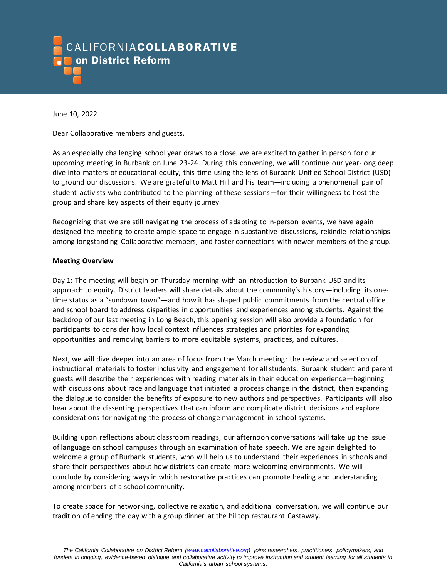

June 10, 2022

Dear Collaborative members and guests,

As an especially challenging school year draws to a close, we are excited to gather in person for our upcoming meeting in Burbank on June 23-24. During this convening, we will continue our year-long deep dive into matters of educational equity, this time using the lens of Burbank Unified School District (USD) to ground our discussions. We are grateful to Matt Hill and his team—including a phenomenal pair of student activists who contributed to the planning of these sessions—for their willingness to host the group and share key aspects of their equity journey.

Recognizing that we are still navigating the process of adapting to in-person events, we have again designed the meeting to create ample space to engage in substantive discussions, rekindle relationships among longstanding Collaborative members, and foster connections with newer members of the group.

## **Meeting Overview**

Day 1: The meeting will begin on Thursday morning with an introduction to Burbank USD and its approach to equity. District leaders will share details about the community's history—including its onetime status as a "sundown town"—and how it has shaped public commitments from the central office and school board to address disparities in opportunities and experiences among students. Against the backdrop of our last meeting in Long Beach, this opening session will also provide a foundation for participants to consider how local context influences strategies and priorities for expanding opportunities and removing barriers to more equitable systems, practices, and cultures.

Next, we will dive deeper into an area of focus from the March meeting: the review and selection of instructional materials to foster inclusivity and engagement for all students. Burbank student and parent guests will describe their experiences with reading materials in their education experience—beginning with discussions about race and language that initiated a process change in the district, then expanding the dialogue to consider the benefits of exposure to new authors and perspectives. Participants will also hear about the dissenting perspectives that can inform and complicate district decisions and explore considerations for navigating the process of change management in school systems.

Building upon reflections about classroom readings, our afternoon conversations will take up the issue of language on school campuses through an examination of hate speech. We are again delighted to welcome a group of Burbank students, who will help us to understand their experiences in schools and share their perspectives about how districts can create more welcoming environments. We will conclude by considering ways in which restorative practices can promote healing and understanding among members of a school community.

To create space for networking, collective relaxation, and additional conversation, we will continue our tradition of ending the day with a group dinner at the hilltop restaurant Castaway.

*The California Collaborative on District Reform [\(www.cacollaborative.org\)](http://www.cacollaborative.org/) joins researchers, practitioners, policymakers, and funders in ongoing, evidence-based dialogue and collaborative activity to improve instruction and student learning for all students in California's urban school systems.*